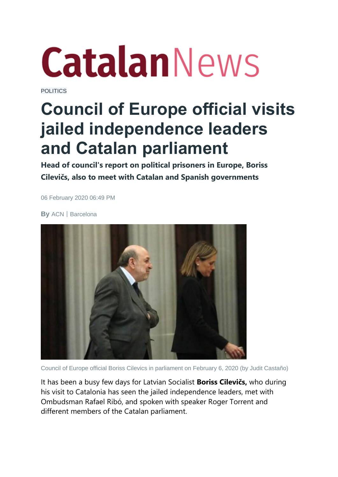## **CatalanNews**

[POLITICS](https://www.catalannews.com/politics)

## **Council of Europe official visits jailed independence leaders and Catalan parliament**

**Head of council's report on political prisoners in Europe, Boriss Cilevičs, also to meet with Catalan and Spanish governments**

06 February 2020 06:49 PM

**By** ACN|Barcelona



Council of Europe official Boriss Cilevics in parliament on February 6, 2020 (by Judit Castaño)

It has been a busy few days for Latvian Socialist **Boriss Cilevičs,** who during his visit to Catalonia has seen the jailed independence leaders, met with Ombudsman Rafael Ribó, and spoken with speaker Roger Torrent and different members of the Catalan parliament.